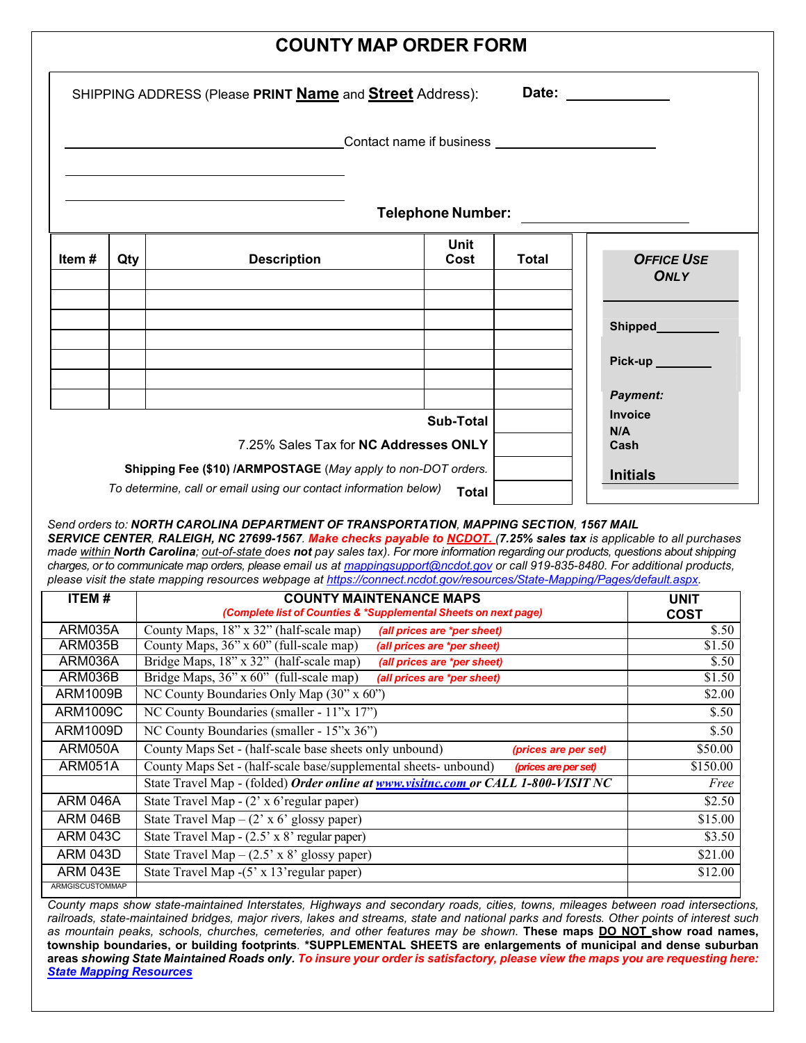| <b>COUNTY MAP ORDER FORM</b>                                                                           |     |                                                                                                                                   |                                                     |                               |                            |  |  |  |  |  |  |
|--------------------------------------------------------------------------------------------------------|-----|-----------------------------------------------------------------------------------------------------------------------------------|-----------------------------------------------------|-------------------------------|----------------------------|--|--|--|--|--|--|
| Date: ______________<br>SHIPPING ADDRESS (Please PRINT <u>Name</u> and <b>Street</b> Address):         |     |                                                                                                                                   |                                                     |                               |                            |  |  |  |  |  |  |
|                                                                                                        |     |                                                                                                                                   | Contact name if business __________________________ |                               |                            |  |  |  |  |  |  |
| <b>Telephone Number:</b><br>the control of the control of the control of the control of the control of |     |                                                                                                                                   |                                                     |                               |                            |  |  |  |  |  |  |
| Item#                                                                                                  | Qty | <b>Description</b>                                                                                                                | Unit<br>Cost                                        | <b>Total</b>                  | <b>OFFICE USE</b><br>ONLY  |  |  |  |  |  |  |
|                                                                                                        |     |                                                                                                                                   |                                                     |                               | Shipped<br><u> Shipped</u> |  |  |  |  |  |  |
|                                                                                                        |     |                                                                                                                                   |                                                     |                               | Pick-up<br><b>Payment:</b> |  |  |  |  |  |  |
|                                                                                                        |     | 7.25% Sales Tax for NC Addresses ONLY                                                                                             |                                                     | <b>Invoice</b><br>N/A<br>Cash |                            |  |  |  |  |  |  |
|                                                                                                        |     | Shipping Fee (\$10) /ARMPOSTAGE (May apply to non-DOT orders.<br>To determine, call or email using our contact information below) |                                                     | <b>Initials</b>               |                            |  |  |  |  |  |  |

*Send orders to: NORTH CAROLINA DEPARTMENT OF TRANSPORTATION, MAPPING SECTION, 1567 MAIL SERVICE CENTER, RALEIGH, NC 27699-1567. Make checks payable to NCDOT. (7.25% sales tax is applicable to all purchases made within North Carolina; out-of-state does not pay sales tax). For more information regarding our products, questions about shipping charges, or to communicate map orders, please email us at [mappingsupport@ncdot.gov](mailto:mappingsupport@ncdot.gov.) or call 919-835-8480. For additional products, please visit the [state mapping resources](https://connect.ncdot.gov/resources/State-Mapping/Pages/default.aspx) webpage at [https://connect.ncdot.gov/resources/State-Mapping/Pages/default.aspx.](https://connect.ncdot.gov/resources/State-Mapping/Pages/default.aspx)* 

| ITEM#                  | <b>COUNTY MAINTENANCE MAPS</b><br>(Complete list of Counties & *Supplemental Sheets on next page) | <b>UNIT</b><br><b>COST</b> |
|------------------------|---------------------------------------------------------------------------------------------------|----------------------------|
| ARM035A                | County Maps, 18" x 32" (half-scale map)<br>(all prices are *per sheet)                            | \$.50                      |
| ARM035B                | County Maps, $36''$ x $\overline{60''}$ (full-scale map)<br>(all prices are *per sheet)           | \$1.50                     |
| ARM036A                | Bridge Maps, 18" x 32" (half-scale map)<br>(all prices are *per sheet)                            | \$.50                      |
| ARM036B                | Bridge Maps, 36" x 60" (full-scale map)<br>(all prices are *per sheet)                            | \$1.50                     |
| ARM1009B               | NC County Boundaries Only Map (30" x 60")                                                         | \$2.00                     |
| ARM1009C               | NC County Boundaries (smaller - 11"x 17")                                                         | \$.50                      |
| ARM1009D               | NC County Boundaries (smaller - 15"x 36")                                                         | \$.50                      |
| ARM050A                | County Maps Set - (half-scale base sheets only unbound)<br>(prices are per set)                   | \$50.00                    |
| ARM051A                | County Maps Set - (half-scale base/supplemental sheets- unbound)<br>(prices are per set)          | \$150.00                   |
|                        | State Travel Map - (folded) Order online at www.visitnc.com or CALL 1-800-VISIT NC                | Free                       |
| <b>ARM 046A</b>        | State Travel Map - (2' x 6'regular paper)                                                         | \$2.50                     |
| <b>ARM 046B</b>        | State Travel Map – $(2 \times 6 \times 6)$ glossy paper)                                          | \$15.00                    |
| ARM 043C               | State Travel Map - (2.5' x 8' regular paper)                                                      | \$3.50                     |
| <b>ARM 043D</b>        | State Travel Map – $(2.5' \times 8'$ glossy paper)                                                | \$21.00                    |
| <b>ARM 043E</b>        | State Travel Map -(5' x 13' regular paper)                                                        | \$12.00                    |
| <b>ARMGISCUSTOMMAP</b> |                                                                                                   |                            |

*County maps show state-maintained Interstates, Highways and secondary roads, cities, towns, mileages between road intersections, railroads, state-maintained bridges, major rivers, lakes and streams, state and national parks and forests. Other points of interest such as mountain peaks, schools, churches, cemeteries, and other features may be shown*. **These maps DO NOT show road names, township boundaries, or building footprints***.* **\*SUPPLEMENTAL SHEETS are enlargements of municipal and dense suburban areas** *showing State Maintained Roads only. To insure your order is satisfactory, please view the maps you are requesting here: [State Mapping Resources](https://connect.ncdot.gov/resources/State-Mapping/Pages/default.aspx)*